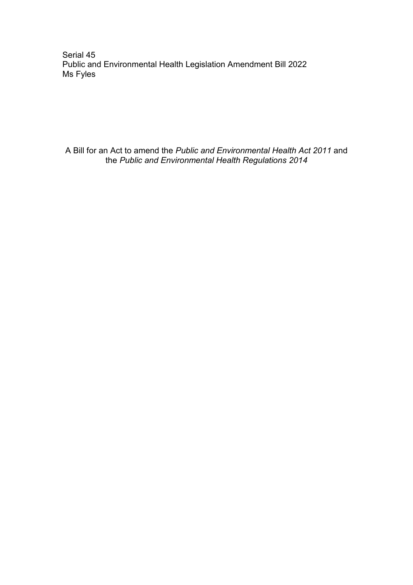Serial 45 Public and Environmental Health Legislation Amendment Bill 2022 Ms Fyles

A Bill for an Act to amend the *Public and Environmental Health Act 2011* and the *Public and Environmental Health Regulations 2014*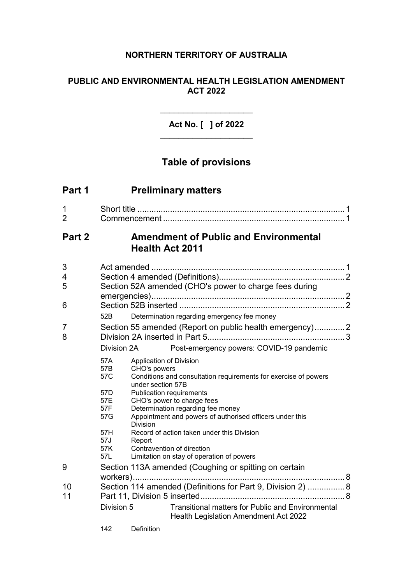# **NORTHERN TERRITORY OF AUSTRALIA**

# **PUBLIC AND ENVIRONMENTAL HEALTH LEGISLATION AMENDMENT ACT 2022**

# **Act No. [ ] of 2022** \_\_\_\_\_\_\_\_\_\_\_\_\_\_\_\_\_\_\_\_

 $\mathcal{L}_\text{max}$  and  $\mathcal{L}_\text{max}$ 

# **Table of provisions**

| Part 1              | <b>Preliminary matters</b>                                                                                                                                  |                                                                                                                                                                                   |                                                                                                                 |  |  |  |
|---------------------|-------------------------------------------------------------------------------------------------------------------------------------------------------------|-----------------------------------------------------------------------------------------------------------------------------------------------------------------------------------|-----------------------------------------------------------------------------------------------------------------|--|--|--|
| 1<br>$\overline{2}$ |                                                                                                                                                             |                                                                                                                                                                                   |                                                                                                                 |  |  |  |
| Part 2              | <b>Amendment of Public and Environmental</b><br><b>Health Act 2011</b>                                                                                      |                                                                                                                                                                                   |                                                                                                                 |  |  |  |
| 3<br>4<br>5<br>6    | Section 52A amended (CHO's power to charge fees during                                                                                                      |                                                                                                                                                                                   |                                                                                                                 |  |  |  |
|                     | 52B                                                                                                                                                         |                                                                                                                                                                                   | Determination regarding emergency fee money                                                                     |  |  |  |
| 7<br>8              | Section 55 amended (Report on public health emergency)2                                                                                                     |                                                                                                                                                                                   |                                                                                                                 |  |  |  |
|                     | Post-emergency powers: COVID-19 pandemic<br>Division 2A                                                                                                     |                                                                                                                                                                                   |                                                                                                                 |  |  |  |
|                     | 57A<br>57B<br>57C                                                                                                                                           | CHO's powers                                                                                                                                                                      | Application of Division<br>Conditions and consultation requirements for exercise of powers<br>under section 57B |  |  |  |
|                     | 57D<br>57E<br>57F<br>57G                                                                                                                                    | <b>Publication requirements</b><br>CHO's power to charge fees<br>Determination regarding fee money<br>Appointment and powers of authorised officers under this<br><b>Division</b> |                                                                                                                 |  |  |  |
|                     | 57H<br>Record of action taken under this Division<br>57J<br>Report<br>57K<br>Contravention of direction<br>Limitation on stay of operation of powers<br>57L |                                                                                                                                                                                   |                                                                                                                 |  |  |  |
| 9                   | Section 113A amended (Coughing or spitting on certain                                                                                                       |                                                                                                                                                                                   |                                                                                                                 |  |  |  |
| 10<br>11            | Section 114 amended (Definitions for Part 9, Division 2)  8                                                                                                 |                                                                                                                                                                                   |                                                                                                                 |  |  |  |
|                     | <b>Transitional matters for Public and Environmental</b><br>Division 5<br>Health Legislation Amendment Act 2022                                             |                                                                                                                                                                                   |                                                                                                                 |  |  |  |
|                     | 142                                                                                                                                                         | Definition                                                                                                                                                                        |                                                                                                                 |  |  |  |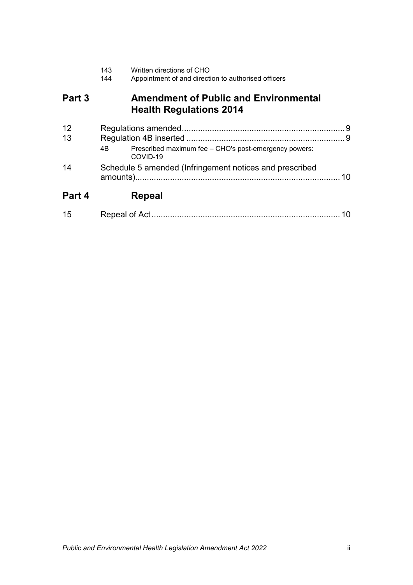|          | 143<br>144                                              | Written directions of CHO<br>Appointment of and direction to authorised officers |    |
|----------|---------------------------------------------------------|----------------------------------------------------------------------------------|----|
| Part 3   |                                                         | <b>Amendment of Public and Environmental</b><br><b>Health Regulations 2014</b>   |    |
| 12<br>13 |                                                         |                                                                                  |    |
|          | 4B                                                      | Prescribed maximum fee - CHO's post-emergency powers:<br>COVID-19                |    |
| 14       | Schedule 5 amended (Infringement notices and prescribed |                                                                                  |    |
| Part 4   |                                                         | Repeal                                                                           |    |
| 15       |                                                         |                                                                                  | 10 |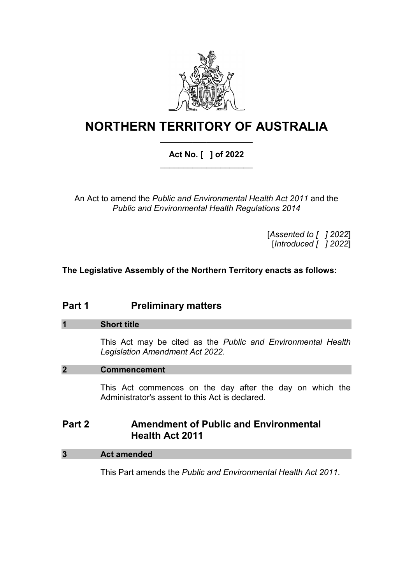

# **NORTHERN TERRITORY OF AUSTRALIA** \_\_\_\_\_\_\_\_\_\_\_\_\_\_\_\_\_\_\_\_

# **Act No. [ ] of 2022** \_\_\_\_\_\_\_\_\_\_\_\_\_\_\_\_\_\_\_\_

An Act to amend the *Public and Environmental Health Act 2011* and the *Public and Environmental Health Regulations 2014*

> [*Assented to [ ] 2022*] [*Introduced [ ] 2022*]

**The Legislative Assembly of the Northern Territory enacts as follows:**

# **Part 1 Preliminary matters**

# **1 Short title**

This Act may be cited as the *Public and Environmental Health Legislation Amendment Act 2022*.

# **2 Commencement**

This Act commences on the day after the day on which the Administrator's assent to this Act is declared.

# **Part 2 Amendment of Public and Environmental Health Act 2011**

# **3 Act amended**

This Part amends the *Public and Environmental Health Act 2011*.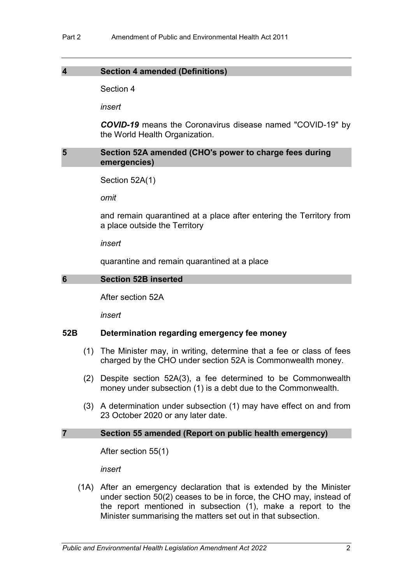#### **4 Section 4 amended (Definitions)**

Section 4

*insert*

*COVID-19* means the Coronavirus disease named "COVID-19" by the World Health Organization.

# **5 Section 52A amended (CHO's power to charge fees during emergencies)**

```
Section 52A(1)
```
*omit*

and remain quarantined at a place after entering the Territory from a place outside the Territory

*insert*

quarantine and remain quarantined at a place

#### **6 Section 52B inserted**

After section 52A

*insert*

# **52B Determination regarding emergency fee money**

- (1) The Minister may, in writing, determine that a fee or class of fees charged by the CHO under section 52A is Commonwealth money.
- (2) Despite section 52A(3), a fee determined to be Commonwealth money under subsection (1) is a debt due to the Commonwealth.
- (3) A determination under subsection (1) may have effect on and from 23 October 2020 or any later date.

#### **7 Section 55 amended (Report on public health emergency)**

After section 55(1)

*insert*

(1A) After an emergency declaration that is extended by the Minister under section 50(2) ceases to be in force, the CHO may, instead of the report mentioned in subsection (1), make a report to the Minister summarising the matters set out in that subsection.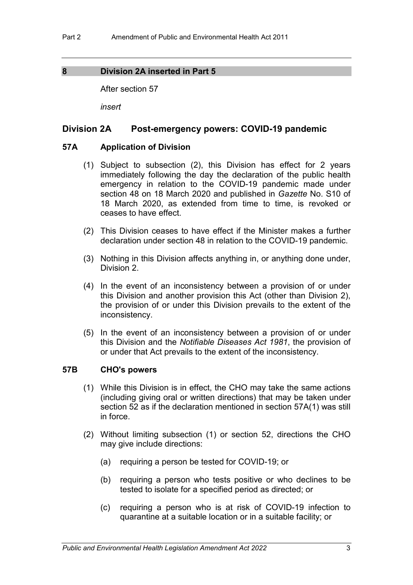# <span id="page-6-0"></span>**8 Division 2A inserted in Part 5**

After section 57

*insert*

# **Division 2A Post-emergency powers: COVID-19 pandemic**

## **57A Application of Division**

- (1) Subject to subsection (2), this Division has effect for 2 years immediately following the day the declaration of the public health emergency in relation to the COVID-19 pandemic made under section 48 on 18 March 2020 and published in *Gazette* No. S10 of 18 March 2020, as extended from time to time, is revoked or ceases to have effect.
- (2) This Division ceases to have effect if the Minister makes a further declaration under section 48 in relation to the COVID-19 pandemic.
- (3) Nothing in this Division affects anything in, or anything done under, Division 2.
- (4) In the event of an inconsistency between a provision of or under this Division and another provision this Act (other than Division 2), the provision of or under this Division prevails to the extent of the inconsistency.
- (5) In the event of an inconsistency between a provision of or under this Division and the *Notifiable Diseases Act 1981*, the provision of or under that Act prevails to the extent of the inconsistency.

# **57B CHO's powers**

- (1) While this Division is in effect, the CHO may take the same actions (including giving oral or written directions) that may be taken under section 52 as if the declaration mentioned in section 57A(1) was still in force.
- (2) Without limiting subsection (1) or section 52, directions the CHO may give include directions:
	- (a) requiring a person be tested for COVID-19; or
	- (b) requiring a person who tests positive or who declines to be tested to isolate for a specified period as directed; or
	- (c) requiring a person who is at risk of COVID-19 infection to quarantine at a suitable location or in a suitable facility; or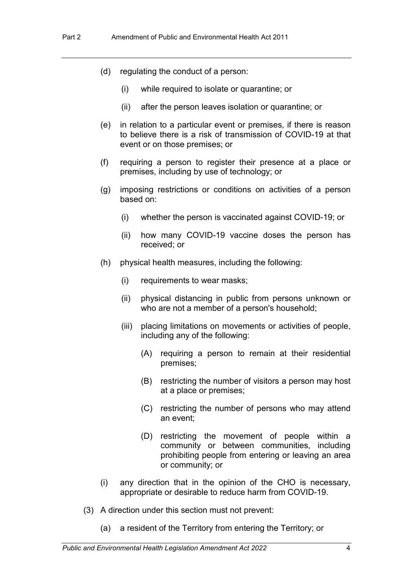- (d) regulating the conduct of a person:
	- (i) while required to isolate or quarantine; or
	- (ii) after the person leaves isolation or quarantine; or
- (e) in relation to a particular event or premises, if there is reason to believe there is a risk of transmission of COVID-19 at that event or on those premises; or
- (f) requiring a person to register their presence at a place or premises, including by use of technology; or
- (g) imposing restrictions or conditions on activities of a person based on:
	- (i) whether the person is vaccinated against COVID-19; or
	- (ii) how many COVID-19 vaccine doses the person has received; or
- (h) physical health measures, including the following:
	- (i) requirements to wear masks;
	- (ii) physical distancing in public from persons unknown or who are not a member of a person's household;
	- (iii) placing limitations on movements or activities of people, including any of the following:
		- (A) requiring a person to remain at their residential premises;
		- (B) restricting the number of visitors a person may host at a place or premises;
		- (C) restricting the number of persons who may attend an event;
		- (D) restricting the movement of people within a community or between communities, including prohibiting people from entering or leaving an area or community; or
- (i) any direction that in the opinion of the CHO is necessary, appropriate or desirable to reduce harm from COVID-19.
- (3) A direction under this section must not prevent:
	- (a) a resident of the Territory from entering the Territory; or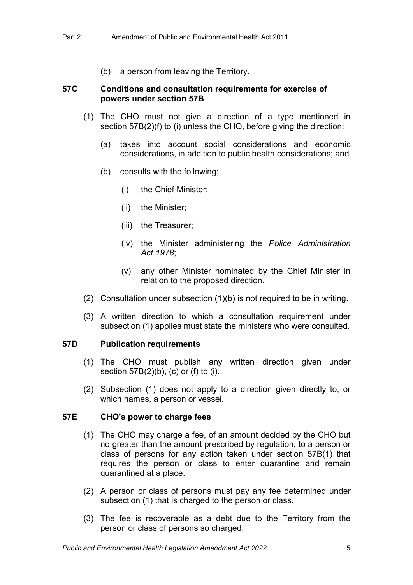(b) a person from leaving the Territory.

# **57C Conditions and consultation requirements for exercise of powers under section 57B**

- (1) The CHO must not give a direction of a type mentioned in section 57B(2)(f) to (i) unless the CHO, before giving the direction:
	- (a) takes into account social considerations and economic considerations, in addition to public health considerations; and
	- (b) consults with the following:
		- (i) the Chief Minister;
		- (ii) the Minister;
		- (iii) the Treasurer;
		- (iv) the Minister administering the *Police Administration Act 1978*;
		- (v) any other Minister nominated by the Chief Minister in relation to the proposed direction.
- (2) Consultation under subsection (1)(b) is not required to be in writing.
- (3) A written direction to which a consultation requirement under subsection (1) applies must state the ministers who were consulted.

# **57D Publication requirements**

- (1) The CHO must publish any written direction given under section 57B(2)(b), (c) or (f) to (i).
- (2) Subsection (1) does not apply to a direction given directly to, or which names, a person or vessel.

#### **57E CHO's power to charge fees**

- (1) The CHO may charge a fee, of an amount decided by the CHO but no greater than the amount prescribed by regulation, to a person or class of persons for any action taken under section 57B(1) that requires the person or class to enter quarantine and remain quarantined at a place.
- (2) A person or class of persons must pay any fee determined under subsection (1) that is charged to the person or class.
- (3) The fee is recoverable as a debt due to the Territory from the person or class of persons so charged.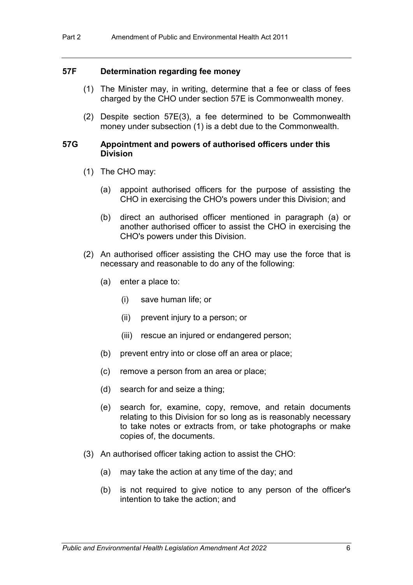#### **57F Determination regarding fee money**

- (1) The Minister may, in writing, determine that a fee or class of fees charged by the CHO under section 57E is Commonwealth money.
- (2) Despite section 57E(3), a fee determined to be Commonwealth money under subsection (1) is a debt due to the Commonwealth.

#### **57G Appointment and powers of authorised officers under this Division**

- (1) The CHO may:
	- (a) appoint authorised officers for the purpose of assisting the CHO in exercising the CHO's powers under this Division; and
	- (b) direct an authorised officer mentioned in paragraph (a) or another authorised officer to assist the CHO in exercising the CHO's powers under this Division.
- (2) An authorised officer assisting the CHO may use the force that is necessary and reasonable to do any of the following:
	- (a) enter a place to:
		- (i) save human life; or
		- (ii) prevent injury to a person; or
		- (iii) rescue an injured or endangered person;
	- (b) prevent entry into or close off an area or place;
	- (c) remove a person from an area or place;
	- (d) search for and seize a thing;
	- (e) search for, examine, copy, remove, and retain documents relating to this Division for so long as is reasonably necessary to take notes or extracts from, or take photographs or make copies of, the documents.
- (3) An authorised officer taking action to assist the CHO:
	- (a) may take the action at any time of the day; and
	- (b) is not required to give notice to any person of the officer's intention to take the action; and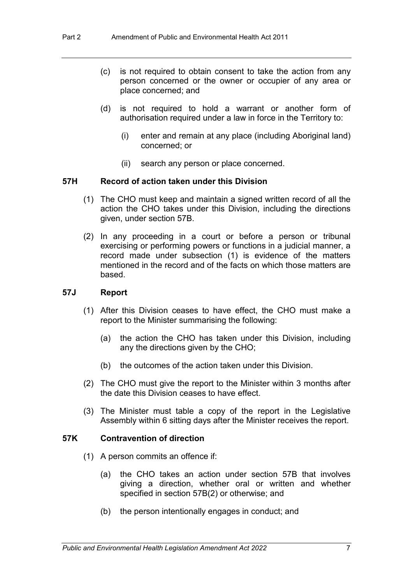- (c) is not required to obtain consent to take the action from any person concerned or the owner or occupier of any area or place concerned; and
- (d) is not required to hold a warrant or another form of authorisation required under a law in force in the Territory to:
	- (i) enter and remain at any place (including Aboriginal land) concerned; or
	- (ii) search any person or place concerned.

#### **57H Record of action taken under this Division**

- (1) The CHO must keep and maintain a signed written record of all the action the CHO takes under this Division, including the directions given, under section 57B.
- (2) In any proceeding in a court or before a person or tribunal exercising or performing powers or functions in a judicial manner, a record made under subsection (1) is evidence of the matters mentioned in the record and of the facts on which those matters are based.

#### **57J Report**

- (1) After this Division ceases to have effect, the CHO must make a report to the Minister summarising the following:
	- (a) the action the CHO has taken under this Division, including any the directions given by the CHO;
	- (b) the outcomes of the action taken under this Division.
- (2) The CHO must give the report to the Minister within 3 months after the date this Division ceases to have effect.
- (3) The Minister must table a copy of the report in the Legislative Assembly within 6 sitting days after the Minister receives the report.

#### **57K Contravention of direction**

- (1) A person commits an offence if:
	- (a) the CHO takes an action under section 57B that involves giving a direction, whether oral or written and whether specified in section 57B(2) or otherwise; and
	- (b) the person intentionally engages in conduct; and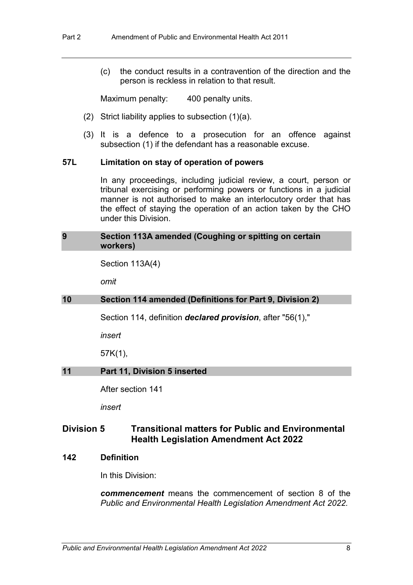(c) the conduct results in a contravention of the direction and the person is reckless in relation to that result.

Maximum penalty: 400 penalty units.

- (2) Strict liability applies to subsection (1)(a).
- (3) It is a defence to a prosecution for an offence against subsection (1) if the defendant has a reasonable excuse.

#### **57L Limitation on stay of operation of powers**

In any proceedings, including judicial review, a court, person or tribunal exercising or performing powers or functions in a judicial manner is not authorised to make an interlocutory order that has the effect of staying the operation of an action taken by the CHO under this Division.

#### **9 Section 113A amended (Coughing or spitting on certain workers)**

Section 113A(4)

*omit*

#### **10 Section 114 amended (Definitions for Part 9, Division 2)**

Section 114, definition *declared provision*, after "56(1),"

*insert*

57K(1),

#### **11 Part 11, Division 5 inserted**

After section 141

*insert*

# **Division 5 Transitional matters for Public and Environmental Health Legislation Amendment Act 2022**

#### **142 Definition**

In this Division:

*commencement* means the commencement of section [8](#page-6-0) of the *Public and Environmental Health Legislation Amendment Act 2022.*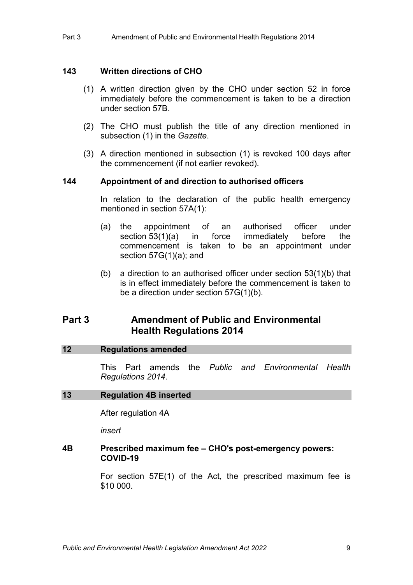# **143 Written directions of CHO**

- (1) A written direction given by the CHO under section 52 in force immediately before the commencement is taken to be a direction under section 57B.
- (2) The CHO must publish the title of any direction mentioned in subsection (1) in the *Gazette*.
- (3) A direction mentioned in subsection (1) is revoked 100 days after the commencement (if not earlier revoked).

# **144 Appointment of and direction to authorised officers**

In relation to the declaration of the public health emergency mentioned in section 57A(1):

- (a) the appointment of an authorised officer under section 53(1)(a) in force immediately before the commencement is taken to be an appointment under section 57G(1)(a); and
- (b) a direction to an authorised officer under section 53(1)(b) that is in effect immediately before the commencement is taken to be a direction under section 57G(1)(b).

# **Part 3 Amendment of Public and Environmental Health Regulations 2014**

#### **12 Regulations amended**

This Part amends the *Public and Environmental Health Regulations 2014*.

#### **13 Regulation 4B inserted**

After regulation 4A

*insert*

#### **4B Prescribed maximum fee – CHO's post-emergency powers: COVID-19**

For section 57E(1) of the Act, the prescribed maximum fee is \$10 000.